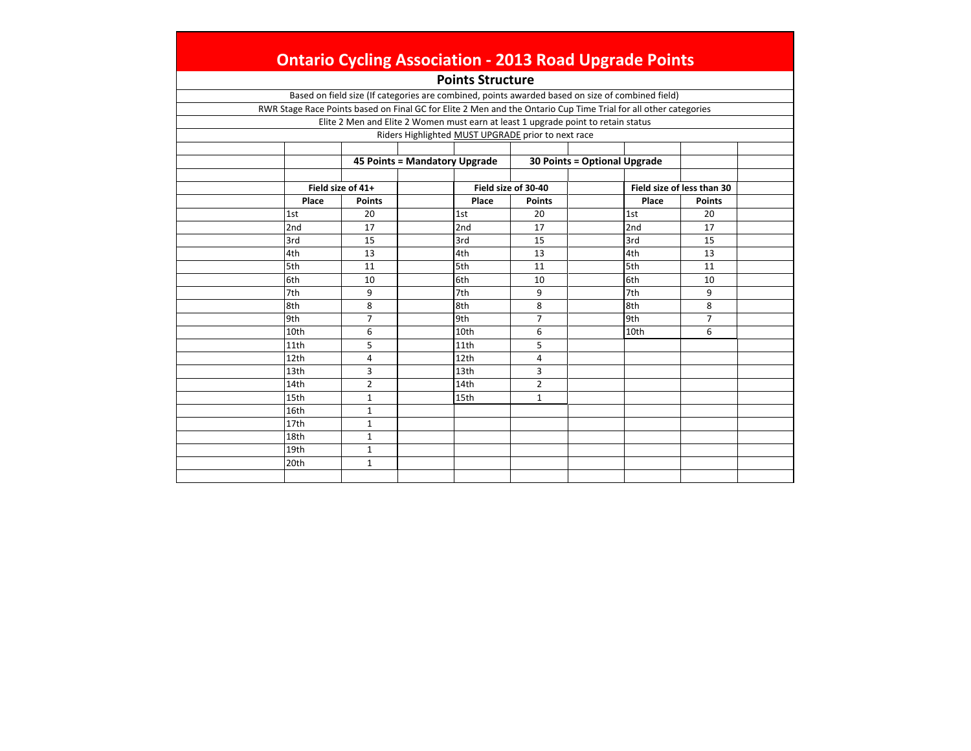|       |                   | <b>Points Structure</b>                                                                                         |                     |                              |                            |  |
|-------|-------------------|-----------------------------------------------------------------------------------------------------------------|---------------------|------------------------------|----------------------------|--|
|       |                   | Based on field size (If categories are combined, points awarded based on size of combined field)                |                     |                              |                            |  |
|       |                   | RWR Stage Race Points based on Final GC for Elite 2 Men and the Ontario Cup Time Trial for all other categories |                     |                              |                            |  |
|       |                   | Elite 2 Men and Elite 2 Women must earn at least 1 upgrade point to retain status                               |                     |                              |                            |  |
|       |                   | Riders Highlighted MUST UPGRADE prior to next race                                                              |                     |                              |                            |  |
|       |                   |                                                                                                                 |                     |                              |                            |  |
|       |                   | 45 Points = Mandatory Upgrade                                                                                   |                     | 30 Points = Optional Upgrade |                            |  |
|       |                   |                                                                                                                 |                     |                              |                            |  |
|       | Field size of 41+ |                                                                                                                 | Field size of 30-40 |                              | Field size of less than 30 |  |
| Place | <b>Points</b>     | Place                                                                                                           | <b>Points</b>       | Place                        | <b>Points</b>              |  |
| 1st   | 20                | 1st                                                                                                             | 20                  | 1st                          | 20                         |  |
| 2nd   | 17                | 2nd                                                                                                             | 17                  | 2nd                          | 17                         |  |
| 3rd   | 15                | 3rd                                                                                                             | 15                  | 3rd                          | 15                         |  |
| 4th   | 13                | 4th                                                                                                             | 13                  | 4th                          | 13                         |  |
| 5th   | 11                | 5th                                                                                                             | 11                  | 5th                          | 11                         |  |
| 6th   | 10                | 6th                                                                                                             | 10                  | 6th                          | 10                         |  |
| 7th   | 9                 | 7th                                                                                                             | 9                   | 7th                          | 9                          |  |
| 8th   | 8                 | 8th                                                                                                             | 8                   | 8th                          | 8                          |  |
| 9th   | $\overline{7}$    | 9th                                                                                                             | $\overline{7}$      | 9th                          | $\overline{7}$             |  |
| 10th  | 6                 | 10th                                                                                                            | 6                   | 10th                         | 6                          |  |
| 11th  | 5                 | 11th                                                                                                            | 5                   |                              |                            |  |
| 12th  | $\overline{4}$    | 12th                                                                                                            | 4                   |                              |                            |  |
| 13th  | 3                 | 13th                                                                                                            | 3                   |                              |                            |  |
| 14th  | $\overline{2}$    | 14th                                                                                                            | $\overline{2}$      |                              |                            |  |
| 15th  | 1                 | 15th                                                                                                            | $\mathbf{1}$        |                              |                            |  |
| 16th  | $\mathbf{1}$      |                                                                                                                 |                     |                              |                            |  |
| 17th  | $\mathbf{1}$      |                                                                                                                 |                     |                              |                            |  |
| 18th  | $\mathbf{1}$      |                                                                                                                 |                     |                              |                            |  |
| 19th  | $\mathbf{1}$      |                                                                                                                 |                     |                              |                            |  |
| 20th  | $\mathbf{1}$      |                                                                                                                 |                     |                              |                            |  |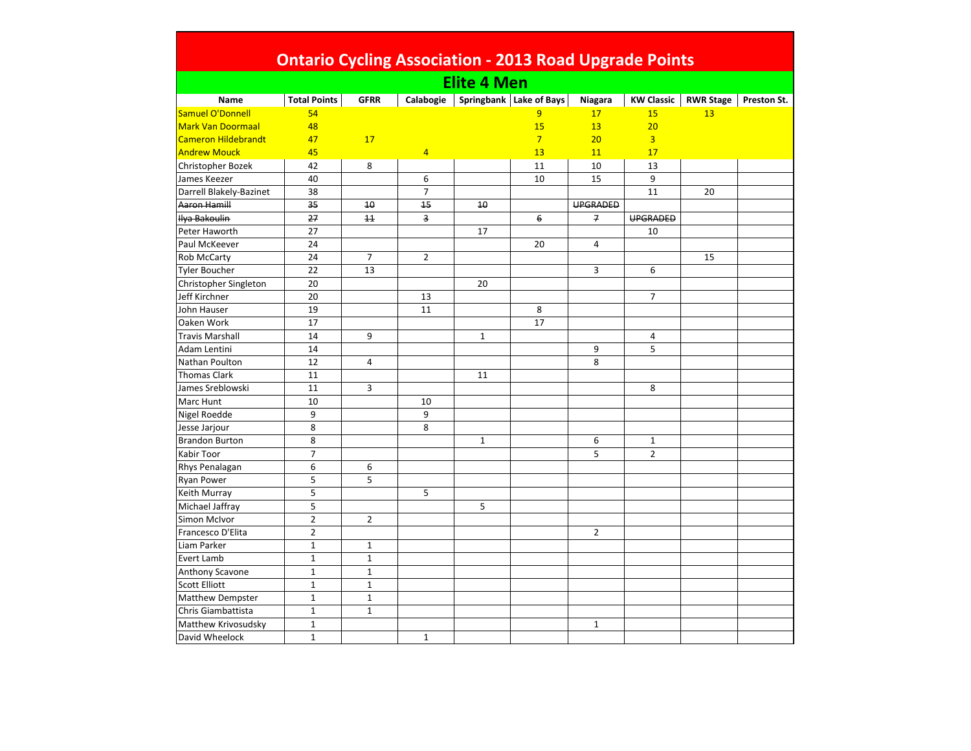| Ontario Cycling Association - 2013 Road Upgrade Points |  |
|--------------------------------------------------------|--|

| <b>Elite 4 Men</b>       |                     |                |                 |              |                         |                 |                   |                  |             |  |  |
|--------------------------|---------------------|----------------|-----------------|--------------|-------------------------|-----------------|-------------------|------------------|-------------|--|--|
| Name                     | <b>Total Points</b> | <b>GFRR</b>    | Calabogie       |              | Springbank Lake of Bays | Niagara         | <b>KW Classic</b> | <b>RWR Stage</b> | Preston St. |  |  |
| Samuel O'Donnell         | 54                  |                |                 |              | 9                       | 17              | 15                | 13               |             |  |  |
| <b>Mark Van Doormaal</b> | 48                  |                |                 |              | 15                      | 13              | 20                |                  |             |  |  |
| Cameron Hildebrandt      | 47                  | 17             |                 |              | $7\overline{}$          | 20 <sub>2</sub> | $\overline{3}$    |                  |             |  |  |
| <b>Andrew Mouck</b>      | 45                  |                | $\overline{4}$  |              | 13                      | 11              | 17                |                  |             |  |  |
| Christopher Bozek        | 42                  | 8              |                 |              | 11                      | 10              | 13                |                  |             |  |  |
| James Keezer             | 40                  |                | 6               |              | 10                      | 15              | 9                 |                  |             |  |  |
| Darrell Blakely-Bazinet  | 38                  |                | $\overline{7}$  |              |                         |                 | 11                | 20               |             |  |  |
| Aaron Hamill             | $\frac{35}{25}$     | 10             | $\overline{45}$ | 10           |                         | <b>UPGRADED</b> |                   |                  |             |  |  |
| <b>Ilya Bakoulin</b>     | 27                  | 11             | 3               |              | 6                       | $\overline{f}$  | <b>UPGRADED</b>   |                  |             |  |  |
| Peter Haworth            | 27                  |                |                 | 17           |                         |                 | 10                |                  |             |  |  |
| Paul McKeever            | 24                  |                |                 |              | 20                      | 4               |                   |                  |             |  |  |
| Rob McCarty              | 24                  | $\overline{7}$ | $\overline{2}$  |              |                         |                 |                   | 15               |             |  |  |
| <b>Tyler Boucher</b>     | 22                  | 13             |                 |              |                         | 3               | 6                 |                  |             |  |  |
| Christopher Singleton    | 20                  |                |                 | 20           |                         |                 |                   |                  |             |  |  |
| Jeff Kirchner            | 20                  |                | 13              |              |                         |                 | $\overline{7}$    |                  |             |  |  |
| John Hauser              | 19                  |                | 11              |              | 8                       |                 |                   |                  |             |  |  |
| Oaken Work               | 17                  |                |                 |              | 17                      |                 |                   |                  |             |  |  |
| <b>Travis Marshall</b>   | 14                  | 9              |                 | $\mathbf{1}$ |                         |                 | 4                 |                  |             |  |  |
| Adam Lentini             | 14                  |                |                 |              |                         | 9               | 5                 |                  |             |  |  |
| Nathan Poulton           | 12                  | 4              |                 |              |                         | 8               |                   |                  |             |  |  |
| <b>Thomas Clark</b>      | 11                  |                |                 | 11           |                         |                 |                   |                  |             |  |  |
| James Sreblowski         | 11                  | $\overline{3}$ |                 |              |                         |                 | 8                 |                  |             |  |  |
| Marc Hunt                | 10                  |                | 10              |              |                         |                 |                   |                  |             |  |  |
| Nigel Roedde             | 9                   |                | 9               |              |                         |                 |                   |                  |             |  |  |
| Jesse Jarjour            | 8                   |                | 8               |              |                         |                 |                   |                  |             |  |  |
| <b>Brandon Burton</b>    | 8                   |                |                 | $\mathbf{1}$ |                         | 6               | $\mathbf{1}$      |                  |             |  |  |
| Kabir Toor               | $\overline{7}$      |                |                 |              |                         | 5               | $\overline{2}$    |                  |             |  |  |
| Rhys Penalagan           | 6                   | 6              |                 |              |                         |                 |                   |                  |             |  |  |
| <b>Ryan Power</b>        | 5                   | 5              |                 |              |                         |                 |                   |                  |             |  |  |
| Keith Murray             | 5                   |                | 5               |              |                         |                 |                   |                  |             |  |  |
| Michael Jaffray          | 5                   |                |                 | 5            |                         |                 |                   |                  |             |  |  |
| Simon McIvor             | $\mathbf 2$         | $\overline{2}$ |                 |              |                         |                 |                   |                  |             |  |  |
| Francesco D'Elita        | $\overline{2}$      |                |                 |              |                         | $\overline{2}$  |                   |                  |             |  |  |
| Liam Parker              | $\mathbf{1}$        | 1              |                 |              |                         |                 |                   |                  |             |  |  |
| Evert Lamb               | $\mathbf 1$         | $\mathbf{1}$   |                 |              |                         |                 |                   |                  |             |  |  |
| Anthony Scavone          | $\mathbf 1$         | $\mathbf 1$    |                 |              |                         |                 |                   |                  |             |  |  |
| <b>Scott Elliott</b>     | $\mathbf 1$         | $\mathbf 1$    |                 |              |                         |                 |                   |                  |             |  |  |
| <b>Matthew Dempster</b>  | $\mathbf{1}$        | $\mathbf{1}$   |                 |              |                         |                 |                   |                  |             |  |  |
| Chris Giambattista       | $\mathbf{1}$        | $\mathbf{1}$   |                 |              |                         |                 |                   |                  |             |  |  |
| Matthew Krivosudsky      | $\mathbf 1$         |                |                 |              |                         | $\mathbf{1}$    |                   |                  |             |  |  |
| David Wheelock           | $\mathbf 1$         |                | $1\,$           |              |                         |                 |                   |                  |             |  |  |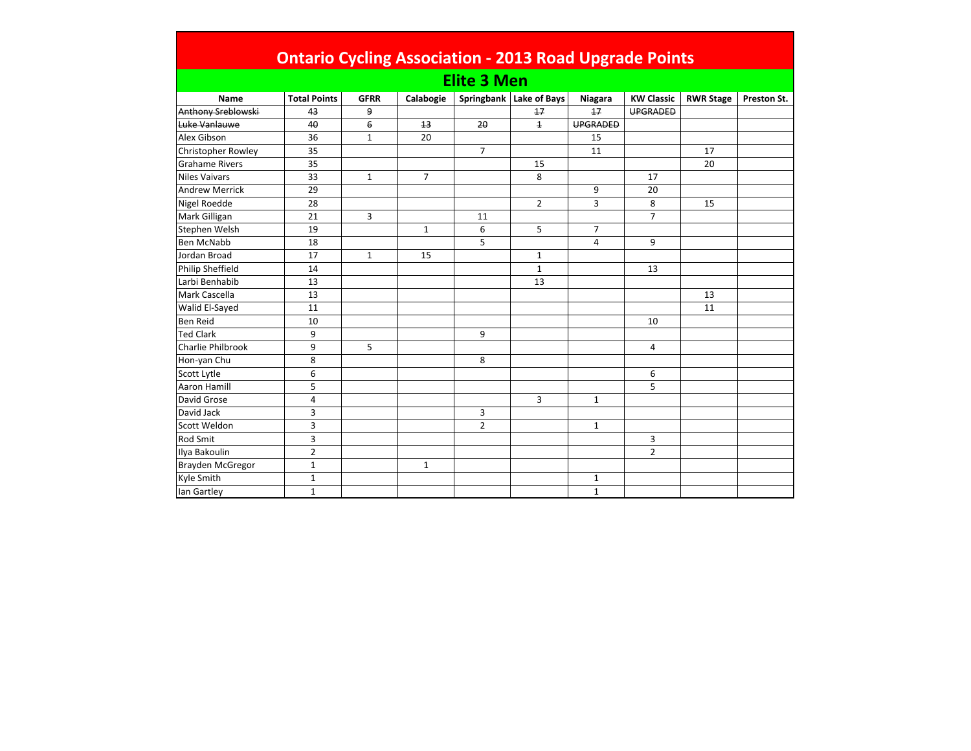| <b>Ontario Cycling Association - 2013 Road Upgrade Points</b> |                     |                |                |                |                           |              |                   |                  |             |  |  |  |  |
|---------------------------------------------------------------|---------------------|----------------|----------------|----------------|---------------------------|--------------|-------------------|------------------|-------------|--|--|--|--|
|                                                               | <b>Elite 3 Men</b>  |                |                |                |                           |              |                   |                  |             |  |  |  |  |
| Name                                                          | <b>Total Points</b> | <b>GFRR</b>    | Calabogie      |                | Springbank   Lake of Bays | Niagara      | <b>KW Classic</b> | <b>RWR Stage</b> | Preston St. |  |  |  |  |
| Anthony Sreblowski                                            | 43                  | 9              |                |                | 17                        | 17           | <b>UPGRADED</b>   |                  |             |  |  |  |  |
| Luke Vanlauwe                                                 | 40                  | $\overline{6}$ | 13             | 20             | $\overline{1}$            | UPGRADED     |                   |                  |             |  |  |  |  |
| Alex Gibson                                                   | 36                  | $\mathbf{1}$   | 20             |                |                           | 15           |                   |                  |             |  |  |  |  |
| Christopher Rowley                                            | 35                  |                |                | $\overline{7}$ |                           | 11           |                   | 17               |             |  |  |  |  |
| <b>Grahame Rivers</b>                                         | 35                  |                |                |                | 15                        |              |                   | 20               |             |  |  |  |  |
| <b>Niles Vaivars</b>                                          | 33                  | $\mathbf{1}$   | $\overline{7}$ |                | 8                         |              | 17                |                  |             |  |  |  |  |
| <b>Andrew Merrick</b>                                         | 29                  |                |                |                |                           | 9            | 20                |                  |             |  |  |  |  |
| Nigel Roedde                                                  | 28                  |                |                |                | $\overline{2}$            | 3            | 8                 | 15               |             |  |  |  |  |
| Mark Gilligan                                                 | 21                  | 3              |                | 11             |                           |              | $\overline{7}$    |                  |             |  |  |  |  |
| Stephen Welsh                                                 | 19                  |                | $\mathbf{1}$   | 6              | 5                         | 7            |                   |                  |             |  |  |  |  |
| <b>Ben McNabb</b>                                             | 18                  |                |                | 5              |                           | 4            | 9                 |                  |             |  |  |  |  |
| Jordan Broad                                                  | 17                  | $\mathbf{1}$   | 15             |                | $\mathbf{1}$              |              |                   |                  |             |  |  |  |  |
| <b>Philip Sheffield</b>                                       | 14                  |                |                |                | $\mathbf{1}$              |              | 13                |                  |             |  |  |  |  |
| Larbi Benhabib                                                | 13                  |                |                |                | 13                        |              |                   |                  |             |  |  |  |  |
| Mark Cascella                                                 | 13                  |                |                |                |                           |              |                   | 13               |             |  |  |  |  |
| Walid El-Sayed                                                | 11                  |                |                |                |                           |              |                   | 11               |             |  |  |  |  |
| <b>Ben Reid</b>                                               | 10                  |                |                |                |                           |              | 10                |                  |             |  |  |  |  |
| <b>Ted Clark</b>                                              | 9                   |                |                | 9              |                           |              |                   |                  |             |  |  |  |  |
| <b>Charlie Philbrook</b>                                      | 9                   | 5              |                |                |                           |              | 4                 |                  |             |  |  |  |  |
| Hon-yan Chu                                                   | 8                   |                |                | 8              |                           |              |                   |                  |             |  |  |  |  |
| Scott Lytle                                                   | 6                   |                |                |                |                           |              | 6                 |                  |             |  |  |  |  |
| <b>Aaron Hamill</b>                                           | 5                   |                |                |                |                           |              | 5                 |                  |             |  |  |  |  |
| David Grose                                                   | 4                   |                |                |                | 3                         | $\mathbf{1}$ |                   |                  |             |  |  |  |  |
| David Jack                                                    | 3                   |                |                | 3              |                           |              |                   |                  |             |  |  |  |  |
| Scott Weldon                                                  | 3                   |                |                | $\overline{2}$ |                           | $\mathbf{1}$ |                   |                  |             |  |  |  |  |
| Rod Smit                                                      | 3                   |                |                |                |                           |              | 3                 |                  |             |  |  |  |  |
| Ilya Bakoulin                                                 | $\overline{2}$      |                |                |                |                           |              | $\overline{2}$    |                  |             |  |  |  |  |
| Brayden McGregor                                              | $\mathbf{1}$        |                | $\mathbf{1}$   |                |                           |              |                   |                  |             |  |  |  |  |
| Kyle Smith                                                    | $\mathbf{1}$        |                |                |                |                           | 1            |                   |                  |             |  |  |  |  |
| lan Gartley                                                   | $\mathbf{1}$        |                |                |                |                           | $\mathbf{1}$ |                   |                  |             |  |  |  |  |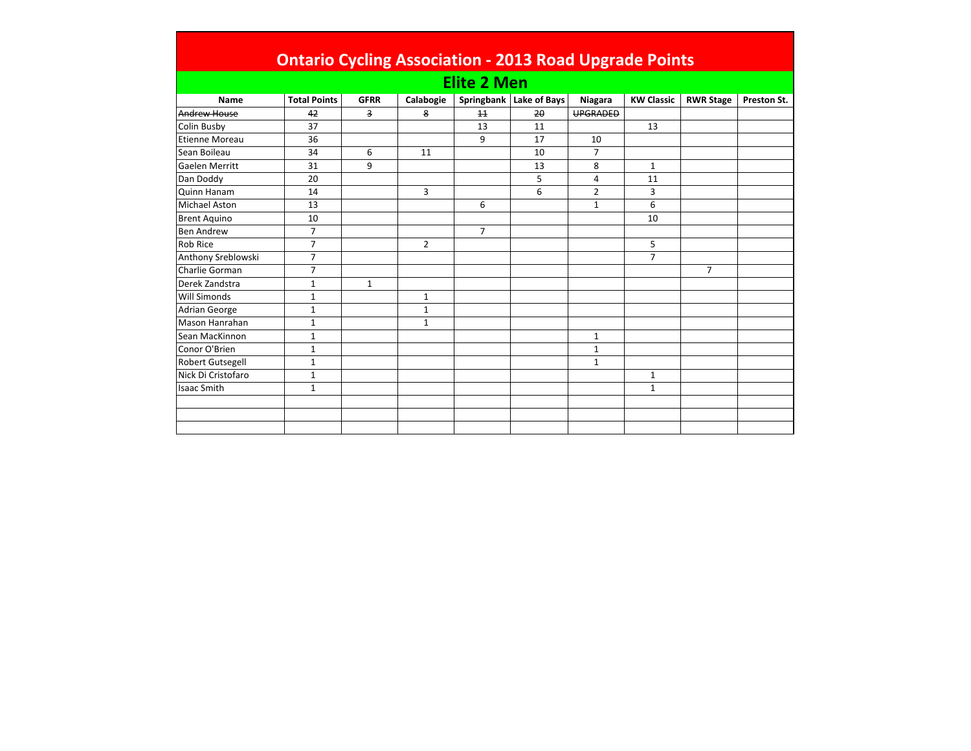|                         | <b>Ontario Cycling Association - 2013 Road Upgrade Points</b> |              |              |                |                         |                 |                   |                  |             |  |  |  |
|-------------------------|---------------------------------------------------------------|--------------|--------------|----------------|-------------------------|-----------------|-------------------|------------------|-------------|--|--|--|
| <b>Elite 2 Men</b>      |                                                               |              |              |                |                         |                 |                   |                  |             |  |  |  |
| Name                    | <b>Total Points</b>                                           | <b>GFRR</b>  | Calabogie    |                | Springbank Lake of Bays | Niagara         | <b>KW Classic</b> | <b>RWR Stage</b> | Preston St. |  |  |  |
| Andrew House            | 42                                                            | 3            | 8            | 11             | 20                      | <b>UPGRADED</b> |                   |                  |             |  |  |  |
| Colin Busby             | 37                                                            |              |              | 13             | 11                      |                 | 13                |                  |             |  |  |  |
| <b>Etienne Moreau</b>   | 36                                                            |              |              | 9              | 17                      | 10              |                   |                  |             |  |  |  |
| Sean Boileau            | 34                                                            | 6            | 11           |                | 10                      | 7               |                   |                  |             |  |  |  |
| Gaelen Merritt          | 31                                                            | 9            |              |                | 13                      | 8               | $\mathbf{1}$      |                  |             |  |  |  |
| Dan Doddy               | 20                                                            |              |              |                | 5                       | 4               | 11                |                  |             |  |  |  |
| <b>Quinn Hanam</b>      | 14                                                            |              | 3            |                | 6                       | $\overline{2}$  | 3                 |                  |             |  |  |  |
| <b>Michael Aston</b>    | 13                                                            |              |              | 6              |                         | $\mathbf{1}$    | 6                 |                  |             |  |  |  |
| <b>Brent Aquino</b>     | 10                                                            |              |              |                |                         |                 | 10                |                  |             |  |  |  |
| <b>Ben Andrew</b>       | $\overline{7}$                                                |              |              | $\overline{7}$ |                         |                 |                   |                  |             |  |  |  |
| <b>Rob Rice</b>         | $\overline{7}$                                                |              | 2            |                |                         |                 | 5                 |                  |             |  |  |  |
| Anthony Sreblowski      | $\overline{7}$                                                |              |              |                |                         |                 | $\overline{7}$    |                  |             |  |  |  |
| Charlie Gorman          | $\overline{7}$                                                |              |              |                |                         |                 |                   | $\overline{7}$   |             |  |  |  |
| Derek Zandstra          | $\mathbf{1}$                                                  | $\mathbf{1}$ |              |                |                         |                 |                   |                  |             |  |  |  |
| Will Simonds            | $\mathbf{1}$                                                  |              | $\mathbf{1}$ |                |                         |                 |                   |                  |             |  |  |  |
| <b>Adrian George</b>    | $\mathbf{1}$                                                  |              | 1            |                |                         |                 |                   |                  |             |  |  |  |
| Mason Hanrahan          | $\mathbf{1}$                                                  |              | $\mathbf{1}$ |                |                         |                 |                   |                  |             |  |  |  |
| Sean MacKinnon          | $\mathbf{1}$                                                  |              |              |                |                         | $\mathbf{1}$    |                   |                  |             |  |  |  |
| Conor O'Brien           | $\mathbf{1}$                                                  |              |              |                |                         | 1               |                   |                  |             |  |  |  |
| <b>Robert Gutsegell</b> | $\mathbf{1}$                                                  |              |              |                |                         | $\mathbf{1}$    |                   |                  |             |  |  |  |
| Nick Di Cristofaro      | $\mathbf{1}$                                                  |              |              |                |                         |                 | $\mathbf{1}$      |                  |             |  |  |  |
| <b>Isaac Smith</b>      | $\mathbf{1}$                                                  |              |              |                |                         |                 | $\mathbf{1}$      |                  |             |  |  |  |
|                         |                                                               |              |              |                |                         |                 |                   |                  |             |  |  |  |
|                         |                                                               |              |              |                |                         |                 |                   |                  |             |  |  |  |
|                         |                                                               |              |              |                |                         |                 |                   |                  |             |  |  |  |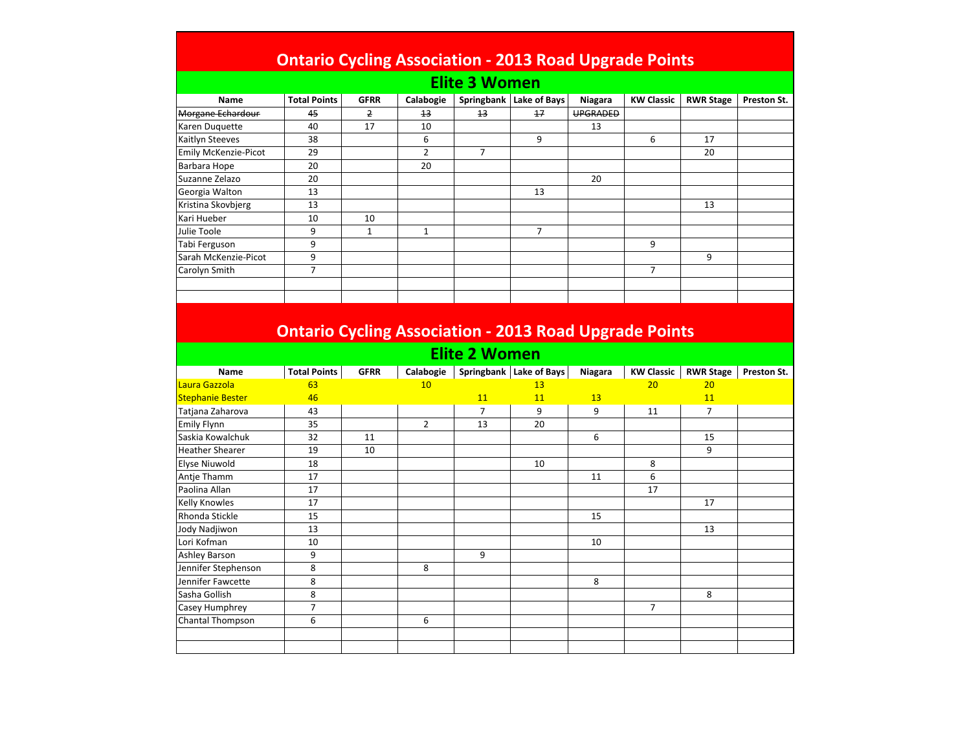## Ontario Cycling Association - 2013 Road Upgrade Points

| Name                 | <b>Total Points</b> | <b>GFRR</b> | Calabogie | Springbank | Lake of Bays | Niagara         | <b>KW Classic</b> | <b>RWR Stage</b> | Preston St. |  |  |
|----------------------|---------------------|-------------|-----------|------------|--------------|-----------------|-------------------|------------------|-------------|--|--|
| Morgane Echardour    | 45                  | 2           | 13        | 13         | 17           | <b>UPGRADED</b> |                   |                  |             |  |  |
| Karen Duquette       | 40                  | 17          | 10        |            |              | 13              |                   |                  |             |  |  |
| Kaitlyn Steeves      | 38                  |             | 6         |            | 9            |                 | 6                 | 17               |             |  |  |
| Emily McKenzie-Picot | 29                  |             | 2         |            |              |                 |                   | 20               |             |  |  |
| Barbara Hope         | 20                  |             | 20        |            |              |                 |                   |                  |             |  |  |
| Suzanne Zelazo       | 20                  |             |           |            |              | 20              |                   |                  |             |  |  |
| Georgia Walton       | 13                  |             |           |            | 13           |                 |                   |                  |             |  |  |
| Kristina Skovbjerg   | 13                  |             |           |            |              |                 |                   | 13               |             |  |  |
| Kari Hueber          | 10                  | 10          |           |            |              |                 |                   |                  |             |  |  |
| Julie Toole          | 9                   |             | 1         |            | 7            |                 |                   |                  |             |  |  |
| Tabi Ferguson        | 9                   |             |           |            |              |                 | 9                 |                  |             |  |  |
| Sarah McKenzie-Picot | 9                   |             |           |            |              |                 |                   | 9                |             |  |  |
| Carolyn Smith        | 7                   |             |           |            |              |                 | 7                 |                  |             |  |  |
|                      |                     |             |           |            |              |                 |                   |                  |             |  |  |
|                      |                     |             |           |            |              |                 |                   |                  |             |  |  |

## Ontario Cycling Association - 2013 Road Upgrade Points

## Elite 2 Women

| Name                    | <b>Total Points</b> | <b>GFRR</b> | Calabogie      | Springbank     | Lake of Bays | Niagara | <b>KW Classic</b> | <b>RWR Stage</b> | Preston St. |
|-------------------------|---------------------|-------------|----------------|----------------|--------------|---------|-------------------|------------------|-------------|
| Laura Gazzola           | 63                  |             | 10             |                | 13           |         | 20                | 20               |             |
| <b>Stephanie Bester</b> | 46                  |             |                | 11             | 11           | 13      |                   | 11               |             |
| Tatjana Zaharova        | 43                  |             |                | $\overline{7}$ | 9            | 9       | 11                | $\overline{7}$   |             |
| <b>Emily Flynn</b>      | 35                  |             | $\overline{2}$ | 13             | 20           |         |                   |                  |             |
| Saskia Kowalchuk        | 32                  | 11          |                |                |              | 6       |                   | 15               |             |
| <b>Heather Shearer</b>  | 19                  | 10          |                |                |              |         |                   | 9                |             |
| Elyse Niuwold           | 18                  |             |                |                | 10           |         | 8                 |                  |             |
| Antje Thamm             | 17                  |             |                |                |              | 11      | 6                 |                  |             |
| Paolina Allan           | 17                  |             |                |                |              |         | 17                |                  |             |
| Kelly Knowles           | 17                  |             |                |                |              |         |                   | 17               |             |
| Rhonda Stickle          | 15                  |             |                |                |              | 15      |                   |                  |             |
| Jody Nadjiwon           | 13                  |             |                |                |              |         |                   | 13               |             |
| Lori Kofman             | 10                  |             |                |                |              | 10      |                   |                  |             |
| <b>Ashley Barson</b>    | 9                   |             |                | 9              |              |         |                   |                  |             |
| Jennifer Stephenson     | 8                   |             | 8              |                |              |         |                   |                  |             |
| Jennifer Fawcette       | 8                   |             |                |                |              | 8       |                   |                  |             |
| Sasha Gollish           | 8                   |             |                |                |              |         |                   | 8                |             |
| Casey Humphrey          | $\overline{7}$      |             |                |                |              |         | $\overline{7}$    |                  |             |
| <b>Chantal Thompson</b> | 6                   |             | 6              |                |              |         |                   |                  |             |
|                         |                     |             |                |                |              |         |                   |                  |             |
|                         |                     |             |                |                |              |         |                   |                  |             |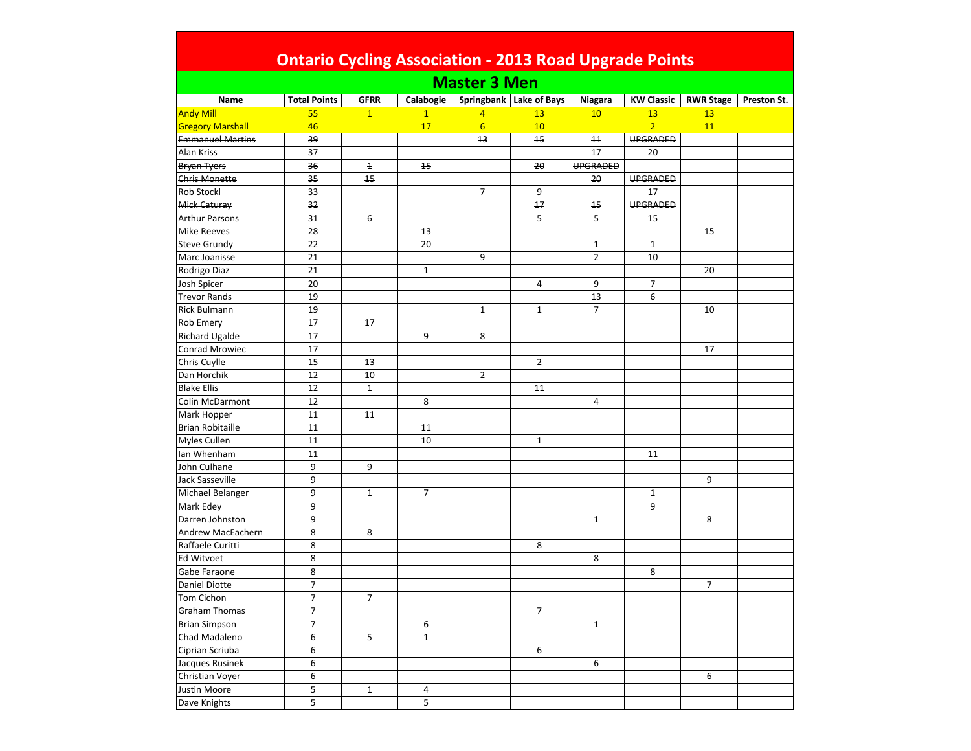| <b>Ontario Cycling Association - 2013 Road Upgrade Points</b> |                     |                |              |                     |                         |                |                   |                  |             |  |  |
|---------------------------------------------------------------|---------------------|----------------|--------------|---------------------|-------------------------|----------------|-------------------|------------------|-------------|--|--|
|                                                               |                     |                |              | <b>Master 3 Men</b> |                         |                |                   |                  |             |  |  |
| Name                                                          | <b>Total Points</b> | <b>GFRR</b>    | Calabogie    |                     | Springbank Lake of Bays | Niagara        | <b>KW Classic</b> | <b>RWR Stage</b> | Preston St. |  |  |
| <b>Andy Mill</b>                                              | 55                  | $\mathbf{1}$   | $\mathbf{1}$ | $\overline{4}$      | 13                      | 10             | 13                | 13               |             |  |  |
| <b>Gregory Marshall</b>                                       | 46                  |                | 17           | $6\overline{6}$     | 10                      |                | $\overline{2}$    | 11               |             |  |  |
| <b>Emmanuel Martins</b>                                       | 39                  |                |              | 13                  | 15                      | 11             | <b>UPGRADED</b>   |                  |             |  |  |
| Alan Kriss                                                    | 37                  |                |              |                     |                         | 17             | 20                |                  |             |  |  |
| <b>Bryan Tyers</b>                                            | 36                  | $\overline{1}$ | 15           |                     | 20                      | UPGRADED       |                   |                  |             |  |  |
| <b>Chris Monette</b>                                          | 35                  | 15             |              |                     |                         | 20             | <b>UPGRADED</b>   |                  |             |  |  |
| <b>Rob Stockl</b>                                             | 33                  |                |              | $\overline{7}$      | 9                       |                | 17                |                  |             |  |  |
| Mick Caturay                                                  | 32                  |                |              |                     | 17                      | 15             | <b>UPGRADED</b>   |                  |             |  |  |
| <b>Arthur Parsons</b>                                         | 31                  | 6              |              |                     | 5                       | 5              | 15                |                  |             |  |  |
| <b>Mike Reeves</b>                                            | 28                  |                | 13           |                     |                         |                |                   | 15               |             |  |  |
| <b>Steve Grundy</b>                                           | 22                  |                | 20           |                     |                         | $\mathbf{1}$   | $\mathbf{1}$      |                  |             |  |  |
| Marc Joanisse                                                 | 21                  |                |              | 9                   |                         | $\overline{2}$ | 10                |                  |             |  |  |
| Rodrigo Diaz                                                  | 21                  |                | $\mathbf{1}$ |                     |                         |                |                   | 20               |             |  |  |
| Josh Spicer                                                   | 20                  |                |              |                     | 4                       | 9              | 7                 |                  |             |  |  |
| <b>Trevor Rands</b>                                           | 19                  |                |              |                     |                         | 13             | 6                 |                  |             |  |  |
| <b>Rick Bulmann</b>                                           | 19                  |                |              | $\mathbf{1}$        | $\mathbf{1}$            | $\overline{7}$ |                   | 10               |             |  |  |
| <b>Rob Emery</b>                                              | 17                  | 17             |              |                     |                         |                |                   |                  |             |  |  |
| <b>Richard Ugalde</b>                                         | 17                  |                | 9            | 8                   |                         |                |                   |                  |             |  |  |
| Conrad Mrowiec                                                | 17                  |                |              |                     |                         |                |                   | 17               |             |  |  |
| Chris Cuylle                                                  | 15                  | 13             |              |                     | $\overline{2}$          |                |                   |                  |             |  |  |
| Dan Horchik                                                   | 12                  | 10             |              | $\overline{2}$      |                         |                |                   |                  |             |  |  |
| <b>Blake Ellis</b>                                            | 12                  | $\mathbf{1}$   |              |                     | 11                      |                |                   |                  |             |  |  |
| <b>Colin McDarmont</b>                                        | 12                  |                | 8            |                     |                         | 4              |                   |                  |             |  |  |
| Mark Hopper                                                   | 11                  | 11             |              |                     |                         |                |                   |                  |             |  |  |
| <b>Brian Robitaille</b>                                       | 11                  |                | 11           |                     |                         |                |                   |                  |             |  |  |
| <b>Myles Cullen</b>                                           | 11                  |                | 10           |                     | $\mathbf{1}$            |                |                   |                  |             |  |  |
| lan Whenham                                                   | 11                  |                |              |                     |                         |                | 11                |                  |             |  |  |
| John Culhane                                                  | 9                   | 9              |              |                     |                         |                |                   |                  |             |  |  |
| Jack Sasseville                                               | 9                   |                |              |                     |                         |                |                   | 9                |             |  |  |
| Michael Belanger                                              | 9                   | $\mathbf{1}$   | 7            |                     |                         |                | 1                 |                  |             |  |  |
| Mark Edey                                                     | 9                   |                |              |                     |                         |                | 9                 |                  |             |  |  |
| Darren Johnston                                               | 9                   |                |              |                     |                         | $\mathbf{1}$   |                   | 8                |             |  |  |
| Andrew MacEachern                                             | 8                   | 8              |              |                     |                         |                |                   |                  |             |  |  |
| Raffaele Curitti                                              | 8                   |                |              |                     | 8                       |                |                   |                  |             |  |  |
| Ed Witvoet                                                    | 8                   |                |              |                     |                         | 8              |                   |                  |             |  |  |
| Gabe Faraone                                                  | 8                   |                |              |                     |                         |                | 8                 |                  |             |  |  |
| Daniel Diotte                                                 | $\overline{7}$      |                |              |                     |                         |                |                   | 7                |             |  |  |
| <b>Tom Cichon</b>                                             | 7                   | $\overline{7}$ |              |                     |                         |                |                   |                  |             |  |  |
| <b>Graham Thomas</b>                                          | $\overline{7}$      |                |              |                     | $\overline{7}$          |                |                   |                  |             |  |  |
| <b>Brian Simpson</b>                                          | $\overline{7}$      |                | 6            |                     |                         | $\mathbf{1}$   |                   |                  |             |  |  |
| Chad Madaleno                                                 | 6                   | 5              | $\mathbf{1}$ |                     |                         |                |                   |                  |             |  |  |
| Ciprian Scriuba                                               | 6                   |                |              |                     | 6                       |                |                   |                  |             |  |  |
| Jacques Rusinek                                               | 6                   |                |              |                     |                         | 6              |                   |                  |             |  |  |
| Christian Voyer                                               | 6                   |                |              |                     |                         |                |                   | 6                |             |  |  |
| Justin Moore                                                  | 5                   | $\mathbf{1}$   | $\pmb{4}$    |                     |                         |                |                   |                  |             |  |  |
| Dave Knights                                                  | 5                   |                | 5            |                     |                         |                |                   |                  |             |  |  |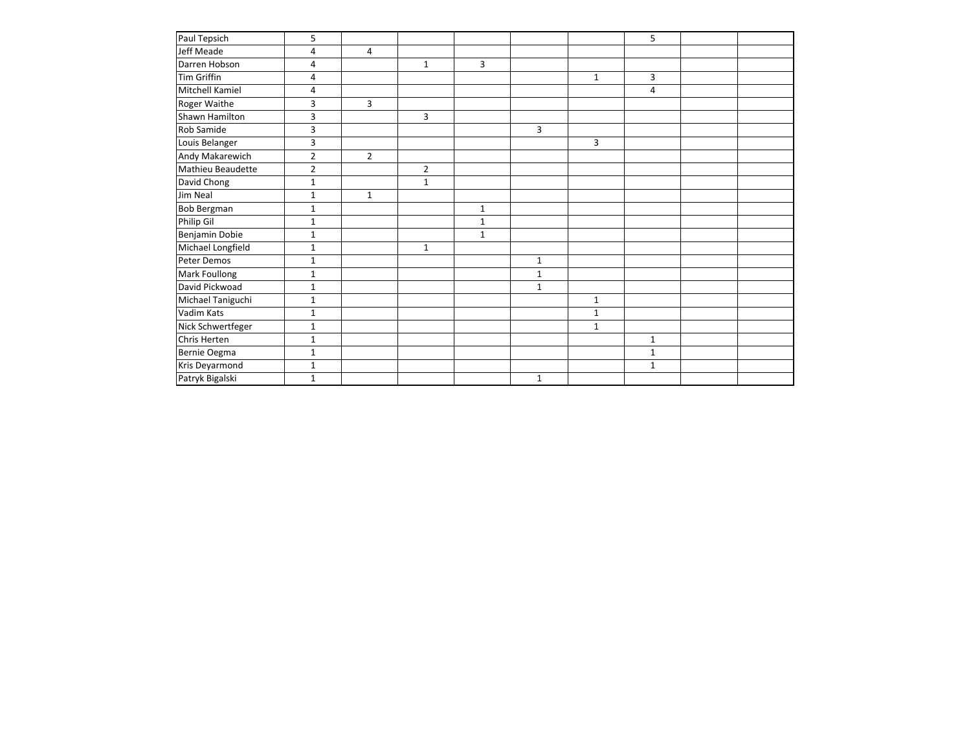| Paul Tepsich       | 5              |                |                |                |              |              | 5            |  |
|--------------------|----------------|----------------|----------------|----------------|--------------|--------------|--------------|--|
| Jeff Meade         | 4              | 4              |                |                |              |              |              |  |
| Darren Hobson      | 4              |                | $\mathbf 1$    | $\overline{3}$ |              |              |              |  |
| <b>Tim Griffin</b> | $\overline{4}$ |                |                |                |              | $\mathbf{1}$ | 3            |  |
| Mitchell Kamiel    | 4              |                |                |                |              |              | 4            |  |
| Roger Waithe       | 3              | $\overline{3}$ |                |                |              |              |              |  |
| Shawn Hamilton     | $\mathsf 3$    |                | 3              |                |              |              |              |  |
| Rob Samide         | 3              |                |                |                | 3            |              |              |  |
| Louis Belanger     | 3              |                |                |                |              | 3            |              |  |
| Andy Makarewich    | $\overline{2}$ | $\overline{2}$ |                |                |              |              |              |  |
| Mathieu Beaudette  | $\overline{2}$ |                | $\overline{2}$ |                |              |              |              |  |
| David Chong        | $\mathbf{1}$   |                | $\mathbf{1}$   |                |              |              |              |  |
| Jim Neal           | $\mathbf{1}$   | $\mathbf{1}$   |                |                |              |              |              |  |
| <b>Bob Bergman</b> | $\mathbf{1}$   |                |                | $\mathbf{1}$   |              |              |              |  |
| Philip Gil         | $\mathbf{1}$   |                |                | $\mathbf{1}$   |              |              |              |  |
| Benjamin Dobie     | $\mathbf{1}$   |                |                | $1\,$          |              |              |              |  |
| Michael Longfield  | $\mathbf{1}$   |                | $\mathbf{1}$   |                |              |              |              |  |
| Peter Demos        | $\mathbf{1}$   |                |                |                | $\mathbf{1}$ |              |              |  |
| Mark Foullong      | $\mathbf{1}$   |                |                |                | $\mathbf{1}$ |              |              |  |
| David Pickwoad     | $1\,$          |                |                |                | $\mathbf 1$  |              |              |  |
| Michael Taniguchi  | $\mathbf{1}$   |                |                |                |              | $\mathbf{1}$ |              |  |
| Vadim Kats         | $\mathbf{1}$   |                |                |                |              | $\mathbf{1}$ |              |  |
| Nick Schwertfeger  | $\mathbf{1}$   |                |                |                |              | $\mathbf{1}$ |              |  |
| Chris Herten       | $\mathbf{1}$   |                |                |                |              |              | $\mathbf{1}$ |  |
| Bernie Oegma       | $\mathbf{1}$   |                |                |                |              |              | $\mathbf{1}$ |  |
| Kris Deyarmond     | $1\,$          |                |                |                |              |              | $\mathbf{1}$ |  |
| Patryk Bigalski    | $\mathbf{1}$   |                |                |                | $\mathbf{1}$ |              |              |  |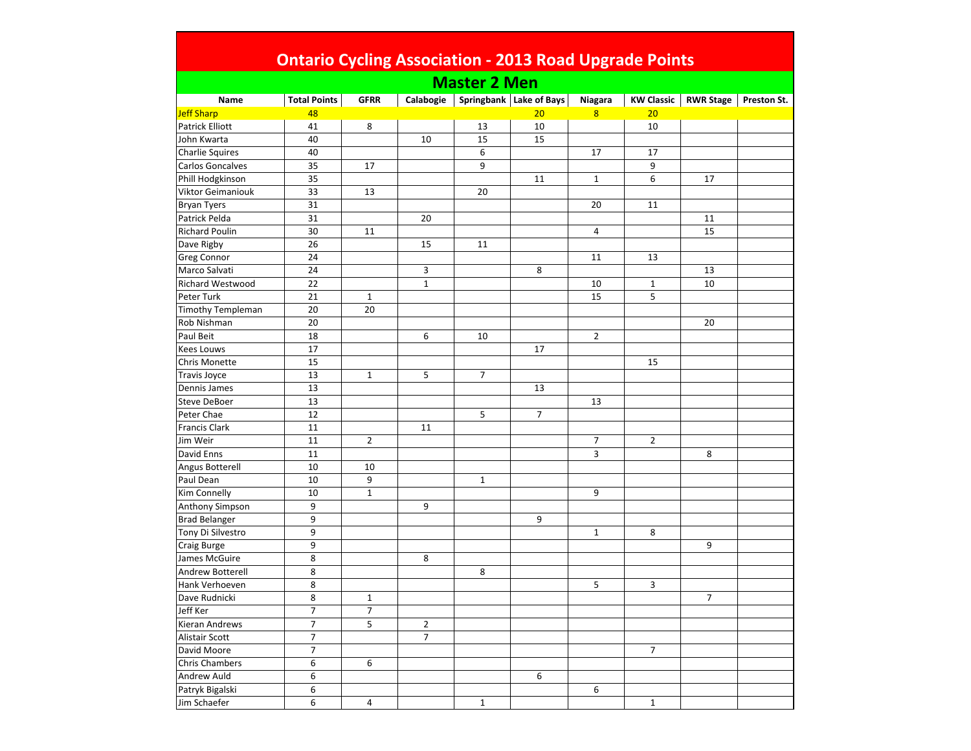| <b>Ontario Cycling Association - 2013 Road Upgrade Points</b> |                     |                |                |                     |                         |                |                   |                  |             |  |  |
|---------------------------------------------------------------|---------------------|----------------|----------------|---------------------|-------------------------|----------------|-------------------|------------------|-------------|--|--|
|                                                               |                     |                |                | <b>Master 2 Men</b> |                         |                |                   |                  |             |  |  |
| Name                                                          | <b>Total Points</b> | <b>GFRR</b>    | Calabogie      |                     | Springbank Lake of Bays | Niagara        | <b>KW Classic</b> | <b>RWR Stage</b> | Preston St. |  |  |
| Jeff Sharp                                                    | 48                  |                |                |                     | 20 <sub>2</sub>         | 8              | 20                |                  |             |  |  |
| <b>Patrick Elliott</b>                                        | 41                  | 8              |                | 13                  | 10                      |                | 10                |                  |             |  |  |
| John Kwarta                                                   | 40                  |                | 10             | 15                  | 15                      |                |                   |                  |             |  |  |
| <b>Charlie Squires</b>                                        | 40                  |                |                | 6                   |                         | 17             | 17                |                  |             |  |  |
| Carlos Goncalves                                              | 35                  | 17             |                | 9                   |                         |                | 9                 |                  |             |  |  |
| Phill Hodgkinson                                              | 35                  |                |                |                     | 11                      | $\mathbf{1}$   | 6                 | 17               |             |  |  |
| <b>Viktor Geimaniouk</b>                                      | 33                  | 13             |                | 20                  |                         |                |                   |                  |             |  |  |
| <b>Bryan Tyers</b>                                            | 31                  |                |                |                     |                         | 20             | 11                |                  |             |  |  |
| Patrick Pelda                                                 | 31                  |                | 20             |                     |                         |                |                   | 11               |             |  |  |
| <b>Richard Poulin</b>                                         | 30                  | 11             |                |                     |                         | 4              |                   | 15               |             |  |  |
| Dave Rigby                                                    | 26                  |                | 15             | 11                  |                         |                |                   |                  |             |  |  |
| <b>Greg Connor</b>                                            | 24                  |                |                |                     |                         | 11             | 13                |                  |             |  |  |
| Marco Salvati                                                 | 24                  |                | 3              |                     | 8                       |                |                   | 13               |             |  |  |
| <b>Richard Westwood</b>                                       | 22                  |                | $\mathbf{1}$   |                     |                         | 10             | $\mathbf{1}$      | 10               |             |  |  |
| Peter Turk                                                    | 21                  | $\mathbf{1}$   |                |                     |                         | 15             | 5                 |                  |             |  |  |
| Timothy Templeman                                             | 20                  | 20             |                |                     |                         |                |                   |                  |             |  |  |
| Rob Nishman                                                   | 20                  |                |                |                     |                         |                |                   | 20               |             |  |  |
| Paul Beit                                                     | 18                  |                | 6              | 10                  |                         | $\overline{2}$ |                   |                  |             |  |  |
| <b>Kees Louws</b>                                             | 17                  |                |                |                     | 17                      |                |                   |                  |             |  |  |
| <b>Chris Monette</b>                                          | 15                  |                |                |                     |                         |                | 15                |                  |             |  |  |
| Travis Joyce                                                  | 13                  | $\mathbf{1}$   | 5              | 7                   |                         |                |                   |                  |             |  |  |
| Dennis James                                                  | 13                  |                |                |                     | 13                      |                |                   |                  |             |  |  |
| <b>Steve DeBoer</b>                                           | 13                  |                |                |                     |                         | 13             |                   |                  |             |  |  |
| Peter Chae                                                    | 12                  |                |                | 5                   | $\overline{7}$          |                |                   |                  |             |  |  |
| <b>Francis Clark</b>                                          | 11                  |                | 11             |                     |                         |                |                   |                  |             |  |  |
| Jim Weir                                                      | 11                  | 2              |                |                     |                         | 7              | 2                 |                  |             |  |  |
| David Enns                                                    | 11                  |                |                |                     |                         | 3              |                   | 8                |             |  |  |
| Angus Botterell                                               | 10                  | 10             |                |                     |                         |                |                   |                  |             |  |  |
| Paul Dean                                                     | 10                  | 9              |                | $\mathbf{1}$        |                         |                |                   |                  |             |  |  |
| Kim Connelly                                                  | 10                  | $\mathbf{1}$   |                |                     |                         | 9              |                   |                  |             |  |  |
| Anthony Simpson                                               | 9                   |                | 9              |                     |                         |                |                   |                  |             |  |  |
| <b>Brad Belanger</b>                                          | 9                   |                |                |                     | 9                       |                |                   |                  |             |  |  |
| Tony Di Silvestro                                             | 9                   |                |                |                     |                         | $\mathbf{1}$   | 8                 |                  |             |  |  |
| <b>Craig Burge</b>                                            | 9                   |                |                |                     |                         |                |                   | 9                |             |  |  |
| James McGuire                                                 | 8                   |                | 8              |                     |                         |                |                   |                  |             |  |  |
| Andrew Botterell                                              | 8                   |                |                | 8                   |                         |                |                   |                  |             |  |  |
| Hank Verhoeven                                                | 8                   |                |                |                     |                         | 5              | 3                 |                  |             |  |  |
| Dave Rudnicki                                                 | 8                   | $\mathbf{1}$   |                |                     |                         |                |                   | $\overline{7}$   |             |  |  |
| Jeff Ker                                                      | $\overline{7}$      | $\overline{7}$ |                |                     |                         |                |                   |                  |             |  |  |
| Kieran Andrews                                                | $\overline{7}$      | 5              | $\overline{2}$ |                     |                         |                |                   |                  |             |  |  |
| <b>Alistair Scott</b>                                         | $\boldsymbol{7}$    |                | $\overline{7}$ |                     |                         |                |                   |                  |             |  |  |
| David Moore                                                   | $\overline{7}$      |                |                |                     |                         |                | $\overline{7}$    |                  |             |  |  |
| Chris Chambers                                                | 6                   | 6              |                |                     |                         |                |                   |                  |             |  |  |
| Andrew Auld                                                   | 6                   |                |                |                     | 6                       |                |                   |                  |             |  |  |
| Patryk Bigalski                                               | 6                   |                |                |                     |                         | 6              |                   |                  |             |  |  |
| Jim Schaefer                                                  | 6                   | 4              |                | $\mathbf{1}$        |                         |                | $\mathbf{1}$      |                  |             |  |  |